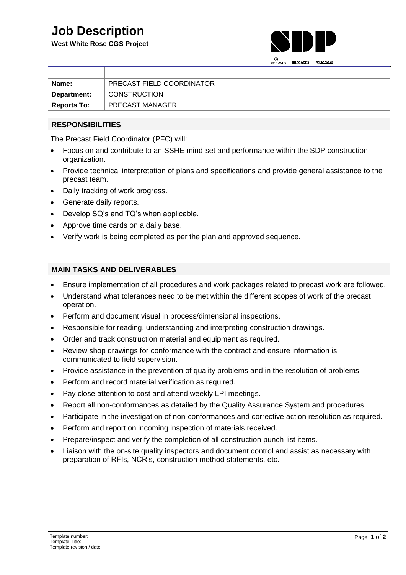## **Job Description**

**West White Rose CGS Project**



|                    | <b>SNC-LAVALLY</b><br><b>UNAGADUS</b><br>$\sim$ $\sim$ $\sim$ $\sim$ $\sim$ $\sim$ |
|--------------------|------------------------------------------------------------------------------------|
|                    |                                                                                    |
| Name:              | PRECAST FIELD COORDINATOR                                                          |
| Department:        | <b>CONSTRUCTION</b>                                                                |
| <b>Reports To:</b> | <b>PRECAST MANAGER</b>                                                             |

## **RESPONSIBILITIES**

The Precast Field Coordinator (PFC) will:

- Focus on and contribute to an SSHE mind-set and performance within the SDP construction organization.
- Provide technical interpretation of plans and specifications and provide general assistance to the precast team.
- Daily tracking of work progress.
- Generate daily reports.
- Develop SQ's and TQ's when applicable.
- Approve time cards on a daily base.
- Verify work is being completed as per the plan and approved sequence.

## **MAIN TASKS AND DELIVERABLES**

- Ensure implementation of all procedures and work packages related to precast work are followed.
- Understand what tolerances need to be met within the different scopes of work of the precast operation.
- Perform and document visual in process/dimensional inspections.
- Responsible for reading, understanding and interpreting construction drawings.
- Order and track construction material and equipment as required.
- Review shop drawings for conformance with the contract and ensure information is communicated to field supervision.
- Provide assistance in the prevention of quality problems and in the resolution of problems.
- Perform and record material verification as required.
- Pay close attention to cost and attend weekly LPI meetings.
- Report all non-conformances as detailed by the Quality Assurance System and procedures.
- Participate in the investigation of non-conformances and corrective action resolution as required.
- Perform and report on incoming inspection of materials received.
- Prepare/inspect and verify the completion of all construction punch-list items.
- Liaison with the on-site quality inspectors and document control and assist as necessary with preparation of RFIs, NCR's, construction method statements, etc.